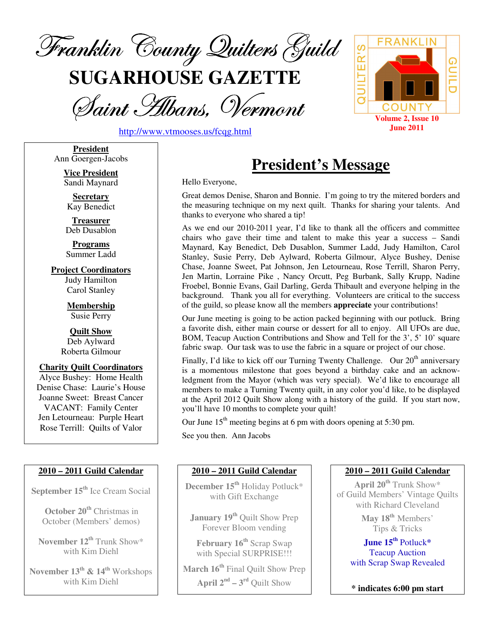

**SUGARHOUSE GAZETTE**

Saint Albans, Vermont





**President** Ann Goergen-Jacobs

> **Vice President** Sandi Maynard

**Secretary** Kay Benedict

**Treasurer** Deb Dusablon

**Programs** Summer Ladd

**Project Coordinators** Judy Hamilton Carol Stanley

> **Membership** Susie Perry

**Quilt Show** Deb Aylward Roberta Gilmour

**Charity Quilt Coordinators** Alyce Bushey: Home Health Denise Chase: Laurie's House Joanne Sweet: Breast Cancer VACANT: Family Center Jen Letourneau: Purple Heart Rose Terrill: Quilts of Valor

#### **2010 – 2011 Guild Calendar**

**September 15 th** Ice Cream Social

**October 20 th** Christmas in October (Members' demos)

**November 12 th** Trunk Show\* with Kim Diehl

**November 13 th & 14 th** Workshops with Kim Diehl

# **President's Message**

Hello Everyone,

Great demos Denise, Sharon and Bonnie. I'm going to try the mitered borders and the measuring technique on my next quilt. Thanks for sharing your talents. And thanks to everyone who shared a tip!

As we end our 2010-2011 year, I'd like to thank all the officers and committee chairs who gave their time and talent to make this year a success – Sandi Maynard, Kay Benedict, Deb Dusablon, Summer Ladd, Judy Hamilton, Carol Stanley, Susie Perry, Deb Aylward, Roberta Gilmour, Alyce Bushey, Denise Chase, Joanne Sweet, Pat Johnson, Jen Letourneau, Rose Terrill, Sharon Perry, Jen Martin, Lorraine Pike , Nancy Orcutt, Peg Burbank, Sally Krupp, Nadine Froebel, Bonnie Evans, Gail Darling, Gerda Thibault and everyone helping in the background. Thank you all for everything. Volunteers are critical to the success of the guild, so please know all the members **appreciate** your contributions!

Our June meeting is going to be action packed beginning with our potluck. Bring a favorite dish, either main course or dessert for all to enjoy. All UFOs are due, BOM, Teacup Auction Contributions and Show and Tell for the 3', 5' 10' square fabric swap. Our task was to use the fabric in a square or project of our chose.

Finally, I'd like to kick off our Turning Twenty Challenge. Our 20<sup>th</sup> anniversary is a momentous milestone that goes beyond a birthday cake and an acknowledgment from the Mayor (which was very special). We'd like to encourage all members to make a Turning Twenty quilt, in any color you'd like, to be displayed at the April 2012 Quilt Show along with a history of the guild. If you start now, you'll have 10 months to complete your quilt!

Our June  $15<sup>th</sup>$  meeting begins at 6 pm with doors opening at 5:30 pm.

See you then. Ann Jacobs

#### **2010 – 2011 Guild Calendar**

**December 15 th** Holiday Potluck\* with Gift Exchange

**January 19 th** Quilt Show Prep Forever Bloom vending

**February 16 th** Scrap Swap with Special SURPRISE!!!

**March 16 th** Final Quilt Show Prep

**April**  $2^{nd}$  –  $3^{rd}$  Quilt Show

#### **2010 – 2011 Guild Calendar**

**April 20 th** Trunk Show\* of Guild Members' Vintage Quilts with Richard Cleveland

> **May 18 th** Members' Tips & Tricks

**June 15 th** Potluck**\*** Teacup Auction with Scrap Swap Revealed

**\* indicates 6:00 pm start**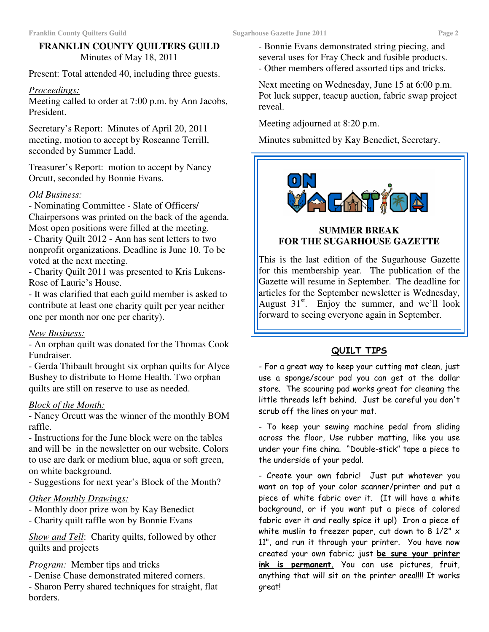#### **FRANKLIN COUNTY QUILTERS GUILD** Minutes of May 18, 2011

Present: Total attended 40, including three guests.

#### *Proceedings:*

Meeting called to order at 7:00 p.m. by Ann Jacobs, President.

Secretary's Report: Minutes of April 20, 2011 meeting, motion to accept by Roseanne Terrill, seconded by Summer Ladd.

Treasurer's Report: motion to accept by Nancy Orcutt, seconded by Bonnie Evans.

#### *Old Business:*

- Nominating Committee - Slate of Officers/ Chairpersons was printed on the back of the agenda. Most open positions were filled at the meeting.

- Charity Quilt 2012 - Ann has sent letters to two nonprofit organizations. Deadline is June 10. To be voted at the next meeting.

- Charity Quilt 2011 was presented to Kris Lukens-Rose of Laurie's House.

- It was clarified that each guild member is asked to contribute at least one charity quilt per year neither one per month nor one per charity).

#### *New Business:*

- An orphan quilt was donated for the Thomas Cook Fundraiser.

- Gerda Thibault brought six orphan quilts for Alyce Bushey to distribute to Home Health. Two orphan quilts are still on reserve to use as needed.

#### *Block of the Month:*

- Nancy Orcutt was the winner of the monthly BOM raffle.

- Instructions for the June block were on the tables and will be in the newsletter on our website. Colors to use are dark or medium blue, aqua or soft green, on white background.

- Suggestions for next year's Block of the Month?

#### *Other Monthly Drawings:*

- Monthly door prize won by Kay Benedict
- Charity quilt raffle won by Bonnie Evans

*Show and Tell*: Charity quilts, followed by other quilts and projects

*Program:* Member tips and tricks

- Denise Chase demonstrated mitered corners.

- Sharon Perry shared techniques for straight, flat borders.

- Bonnie Evans demonstrated string piecing, and several uses for Fray Check and fusible products.
- Other members offered assorted tips and tricks.

Next meeting on Wednesday, June 15 at 6:00 p.m. Pot luck supper, teacup auction, fabric swap project reveal.

Meeting adjourned at 8:20 p.m.

Minutes submitted by Kay Benedict, Secretary.



#### **SUMMER BREAK FOR THE SUGARHOUSE GAZETTE**

This is the last edition of the Sugarhouse Gazette for this membership year. The publication of the Gazette will resume in September. The deadline for articles for the September newsletter is Wednesday, August 31<sup>st</sup>. Enjoy the summer, and we'll look forward to seeing everyone again in September.

### <u>QUILT TIPS</u>

- For a great way to keep your cutting mat clean, just use a sponge/scour pad you can get at the dollar store. The scouring pad works great for cleaning the little threads left behind. Just be careful you don't scrub off the lines on your mat.

- To keep your sewing machine pedal from sliding across the floor, Use rubber matting, like you use under your fine china. "Double-stick" tape a piece to the underside of your pedal.

- Create your own fabric! Just put whatever you want on top of your color scanner/printer and put a piece of white fabric over it. (It will have a white background, or if you want put a piece of colored fabric over it and really spice it up!) Iron a piece of white muslin to freezer paper, cut down to 8 1/2"  $\times$ 11", and run it through your printer. You have now created your own fabric; just <mark>be sure your printer</mark> <u>ink is **permanent**.</u> You can use pictures, fruit, anything that will sit on the printer area!!!! It works great!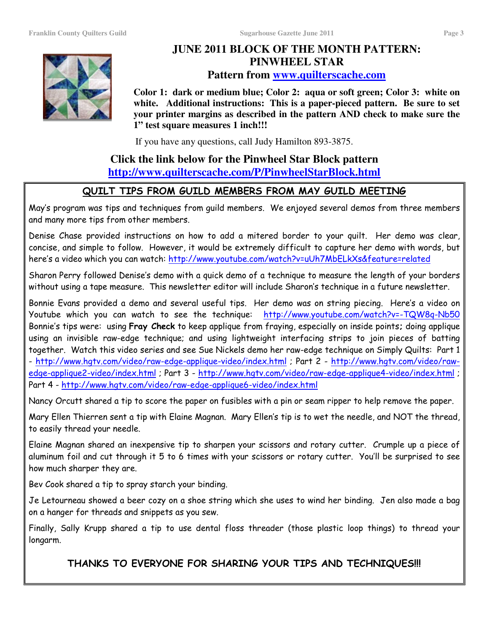

# **JUNE 2011 BLOCK OF THE MONTH PATTERN: PINWHEEL STAR Pattern from www.quilterscache.com**

**Color 1: dark or medium blue; Color 2: aqua or soft green; Color 3: white on white. Additional instructions: This is a paper-pieced pattern. Be sure to set your printer margins as described in the pattern AND check to make sure the 1" test square measures 1 inch!!!**

If you have any questions, call Judy Hamilton 893-3875.

# **Click the link below for the Pinwheel Star Block pattern http://www.quilterscache.com/P/PinwheelStarBlock.html**

### <u>QUILT TIPS FROM GUILD MEMBERS FROM MAY GUILD MEETING</u>

May's program was tips and techniques from guild members. We enjoyed several demos from three members and many more tips from other members.

Denise Chase provided instructions on how to add a mitered border to your quilt. Her demo was clear, concise, and simple to follow. However, it would be extremely difficult to capture her demo with words, but here's a video which you can watch: <u>http://www.youtube.com/watch?v=uUh7MbELkXs&feature=related</u>

Sharon Perry followed Denise's demo with a quick demo of a technique to measure the length of your borders without using a tape measure. This newsletter editor will include Sharon's technique in a future newsletter.

Bonnie Evans provided a demo and several useful tips. Her demo was on string piecing. Here's a video on Youtube which you can watch to see the technique: <u>http://www.youtube.com/watch?v=-TQW8q-Nb5C</u> Bonnie's tips were: using **Fray Check** to keep applique from fraying, especially on inside points; doing applique using an invisible raw-edge technique; and using lightweight interfacing strips to join pieces of batting together. Watch this video series and see Sue Nickels demo her raw-edge technique on Simply Quilts: Part 1 <u>- http://www.hgtv.com/video/raw-edge-applique-video/index.html</u> ; Part 2 - <u>http://www.hgtv.com/video/raw-</u> <u>edge-applique2-video/index.html</u> ; Part 3 - <u>http://www.hgtv.com/video/raw-edge-applique4-video/index.html</u> ; Part 4 - <u>http://www.hgtv.com/video/raw-edge-applique6-video/index.html</u>

Nancy Orcutt shared a tip to score the paper on fusibles with a pin or seam ripper to help remove the paper.

Mary Ellen Thierren sent a tip with Elaine Magnan. Mary Ellen's tip is to wet the needle, and NOT the thread, to easily thread your needle.

Elaine Magnan shared an inexpensive tip to sharpen your scissors and rotary cutter. Crumple up a piece of aluminum foil and cut through it 5 to 6 times with your scissors or rotary cutter. You'll be surprised to see how much sharper they are.

Bev Cook shared a tip to spray starch your binding.

Je Letourneau showed a beer cozy on a shoe string which she uses to wind her binding. Jen also made a bag on a hanger for threads and snippets as you sew.

Finally, Sally Krupp shared a tip to use dental floss threader (those plastic loop things) to thread your longarm.

THANKS TO EVERYONE FOR SHARING YOUR TIPS AND TECHNIQUES!!!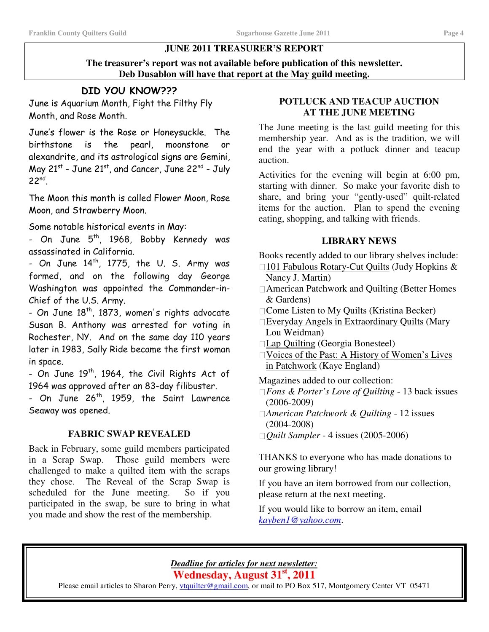#### **JUNE 2011 TREASURER'S REPORT**

**The treasurer's report was not available before publication of this newsletter. Deb Dusablon will have that report at the May guild meeting.**

# DID YOU KNOW???

June is Aquarium Month, Fight the Filthy Fly Month, and Rose Month.

June's flower is the Rose or Honeysuckle. The birthstone is the pearl, moonstone or alexandrite, and its astrological signs are Gemini, May 21<sup>st</sup> - June 21<sup>st</sup>, and Cancer, June 22<sup>nd</sup> - July  $22^{nd}$ .

The Moon this month is called Flower Moon, Rose Moon, and Strawberry Moon.

Some notable historical events in May:

- On June 5<sup>th</sup>, 1968, Bobby Kennedy was assassinated in California.

- On June  $14^{\text{th}}$ , 1775, the U. S. Army was formed, and on the following day George Washington was appointed the Commander-in-Chief of the U.S. Army.

- On June  $18^{\mathsf{th}}$ , 1873, women's rights advocate Susan B. Anthony was arrested for voting in Rochester, NY. And on the same day 110 years later in 1983, Sally Ride became the first woman in space.

- On June 19<sup>th</sup>, 1964, the Civil Rights Act of 1964 was approved after an 83-day filibuster.

- On June 26<sup>th</sup>, 1959, the Saint Lawrence Seaway was opened.

#### **FABRIC SWAP REVEALED**

Back in February, some guild members participated in a Scrap Swap. Those guild members were challenged to make a quilted item with the scraps they chose. The Reveal of the Scrap Swap is scheduled for the June meeting. So if you participated in the swap, be sure to bring in what you made and show the rest of the membership.

#### **POTLUCK AND TEACUP AUCTION AT THE JUNE MEETING**

The June meeting is the last guild meeting for this membership year. And as is the tradition, we will end the year with a potluck dinner and teacup auction.

Activities for the evening will begin at 6:00 pm, starting with dinner. So make your favorite dish to share, and bring your "gently-used" quilt-related items for the auction. Plan to spend the evening eating, shopping, and talking with friends.

#### **LIBRARY NEWS**

Books recently added to our library shelves include: 101 Fabulous Rotary-Cut Quilts (Judy Hopkins & Nancy J. Martin) American Patchwork and Quilting (Better Homes & Gardens) Come Listen to My Quilts (Kristina Becker) Everyday Angels in Extraordinary Quilts (Mary Lou Weidman) Lap Quilting (Georgia Bonesteel) Voices of the Past: A History of Women's Lives in Patchwork (Kaye England)

Magazines added to our collection: *Fons & Porter's Love of Quilting* - 13 back issues (2006-2009) *American Patchwork & Quilting* - 12 issues (2004-2008) *Quilt Sampler* - 4 issues (2005-2006)

THANKS to everyone who has made donations to our growing library!

If you have an item borrowed from our collection, please return at the next meeting.

If you would like to borrow an item, email *kayben1@yahoo.com*.

#### *Deadline for articles for next newsletter:*

**Wednesday, August 31 st , 2011**

Please email articles to Sharon Perry, *vtquilter@gmail.com*, or mail to PO Box 517, Montgomery Center VT 05471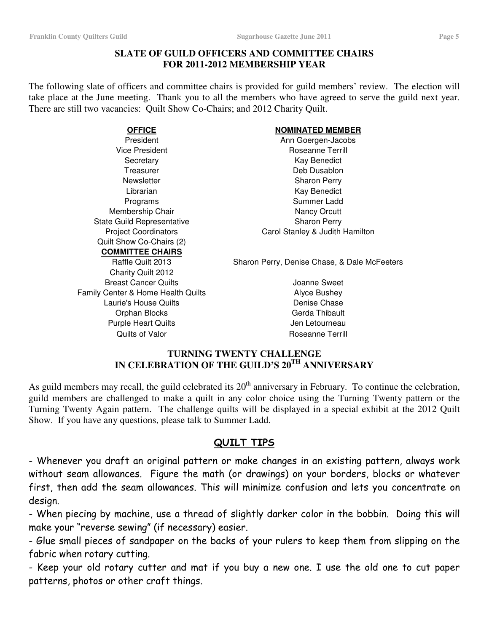#### **SLATE OF GUILD OFFICERS AND COMMITTEE CHAIRS FOR 2011-2012 MEMBERSHIP YEAR**

The following slate of officers and committee chairs is provided for guild members' review. The election will take place at the June meeting. Thank you to all the members who have agreed to serve the guild next year. There are still two vacancies: Quilt Show Co-Chairs; and 2012 Charity Quilt.

Membership Chair Nancy Orcutt State Guild Representative Sharon Perry Quilt Show Co-Chairs (2) **COMMITTEE CHAIRS**

### Charity Quilt 2012 Breast Cancer Quilts **Cancer Cuilts Joanne Sweet** Family Center & Home Health Quilts **Alyce Bushey** Laurie's House Quilts **Denise Chase** Orphan Blocks Gerda Thibault Purple Heart Quilts **All Accords** Jen Letourneau Quilts of Valor **Roseanne Terrill**

#### **OFFICE NOMINATED MEMBER**

President **Ann Goergen-Jacobs** Vice President **Roseanne Terrill** Secretary **Kay Benedict Kay Benedict** Treasurer **Deb** Dusablon Newsletter **Newsletter** Sharon Perry Librarian **Kay Benedict** Programs Summer Ladd Project Coordinators **Carol Stanley & Judith Hamilton** 

Raffle Quilt 2013 Sharon Perry, Denise Chase, & Dale McFeeters

#### **TURNING TWENTY CHALLENGE IN CELEBRATION OF THE GUILD'S 20 TH ANNIVERSARY**

As guild members may recall, the guild celebrated its  $20<sup>th</sup>$  anniversary in February. To continue the celebration, guild members are challenged to make a quilt in any color choice using the Turning Twenty pattern or the Turning Twenty Again pattern. The challenge quilts will be displayed in a special exhibit at the 2012 Quilt Show. If you have any questions, please talk to Summer Ladd.

### <u>QUILT TIPS</u>

- Whenever you draft an original pattern or make changes in an existing pattern, always work without seam allowances. Figure the math (or drawings) on your borders, blocks or whatever first, then add the seam allowances. This will minimize confusion and lets you concentrate on design.

- When piecing by machine, use a thread of slightly darker color in the bobbin. Doing this will make your "reverse sewing" (if necessary) easier.

- Glue small pieces of sandpaper on the backs of your rulers to keep them from slipping on the fabric when rotary cutting.

- Keep your old rotary cutter and mat if you buy a new one. I use the old one to cut paper patterns, photos or other craft things.